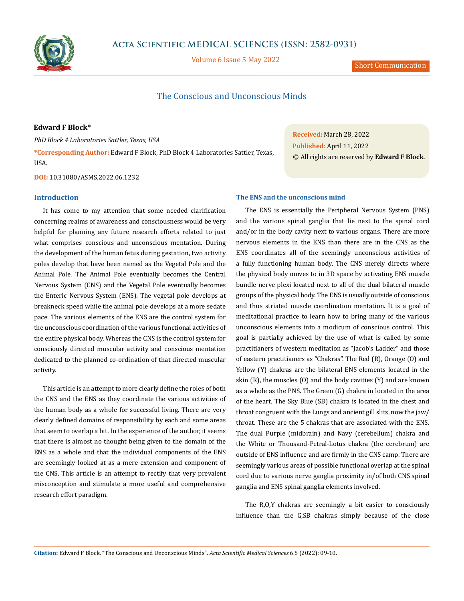

Volume 6 Issue 5 May 2022

Short Communication

# The Conscious and Unconscious Minds

## **Edward F Block\***

*PhD Block 4 Laboratories Sattler, Texas, USA*

**\*Corresponding Author:** Edward F Block, PhD Block 4 Laboratories Sattler, Texas, USA.

**DOI:** [10.31080/ASMS.2022.06.1232](http://actascientific.com/ASMS/pdf/ASMS-06-1232.pdf)

### **Introduction**

It has come to my attention that some needed clarification concerning realms of awareness and consciousness would be very helpful for planning any future research efforts related to just what comprises conscious and unconscious mentation. During the development of the human fetus during gestation, two activity poles develop that have been named as the Vegetal Pole and the Animal Pole. The Animal Pole eventually becomes the Central Nervous System (CNS) and the Vegetal Pole eventually becomes the Enteric Nervous System (ENS). The vegetal pole develops at breakneck speed while the animal pole develops at a more sedate pace. The various elements of the ENS are the control system for the unconscious coordination of the various functional activities of the entire physical body. Whereas the CNS is the control system for consciously directed muscular activity and conscious mentation dedicated to the planned co-ordination of that directed muscular activity.

This article is an attempt to more clearly define the roles of both the CNS and the ENS as they coordinate the various activities of the human body as a whole for successful living. There are very clearly defined domains of responsibility by each and some areas that seem to overlap a bit. In the experience of the author, it seems that there is almost no thought being given to the domain of the ENS as a whole and that the individual components of the ENS are seemingly looked at as a mere extension and component of the CNS. This article is an attempt to rectify that very prevalent misconception and stimulate a more useful and comprehensive research effort paradigm.

**Received:** March 28, 2022 **Published:** April 11, 2022 © All rights are reserved by **Edward F Block***.*

### **The ENS and the unconscious mind**

The ENS is essentially the Peripheral Nervous System (PNS) and the various spinal ganglia that lie next to the spinal cord and/or in the body cavity next to various organs. There are more nervous elements in the ENS than there are in the CNS as the ENS coordinates all of the seemingly unconscious activities of a fully functioning human body. The CNS merely directs where the physical body moves to in 3D space by activating ENS muscle bundle nerve plexi located next to all of the dual bilateral muscle groups of the physical body. The ENS is usually outside of conscious and thus striated muscle coordination mentation. It is a goal of meditational practice to learn how to bring many of the various unconscious elements into a modicum of conscious control. This goal is partially achieved by the use of what is called by some practitianers of western meditation as "Jacob's Ladder" and those of eastern practitianers as "Chakras". The Red (R), Orange (O) and Yellow (Y) chakras are the bilateral ENS elements located in the skin (R), the muscles (O) and the body cavities (Y) and are known as a whole as the PNS. The Green (G) chakra in located in the area of the heart. The Sky Blue (SB) chakra is located in the chest and throat congruent with the Lungs and ancient gill slits, now the jaw/ throat. These are the 5 chakras that are associated with the ENS. The dual Purple (midbrain) and Navy (cerebellum) chakra and the White or Thousand-Petral-Lotus chakra (the cerebrum) are outside of ENS influence and are firmly in the CNS camp. There are seemingly various areas of possible functional overlap at the spinal cord due to various nerve ganglia proximity in/of both CNS spinal ganglia and ENS spinal ganglia elements involved.

The R,O,Y chakras are seemingly a bit easier to consciously influence than the G,SB chakras simply because of the close